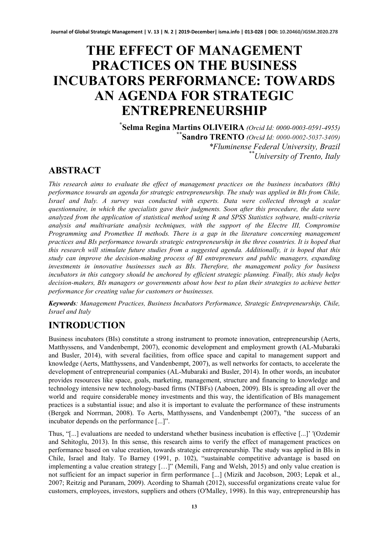# **THE EFFECT OF MANAGEMENT PRACTICES ON THE BUSINESS INCUBATORS PERFORMANCE: TOWARDS AN AGENDA FOR STRATEGIC ENTREPRENEURSHIP**

**\* Selma Regina Martins OLIVEIRA** *(Orcid Id: [0000-0003-0591-4955\)](https://orcid.org/0000-0003-0591-4955)* **\*\*Sandro TRENTO** *(Orcid Id: 0000-0002-5037-3409) \*Fluminense Federal University, Brazil \*\*University of Trento, Italy*

# **ABSTRACT**

*This research aims to evaluate the effect of management practices on the business incubators (BIs) performance towards an agenda for strategic entrepreneurship. The study was applied in BIs from Chile, Israel and Italy. A survey was conducted with experts. Data were collected through a scalar questionnaire, in which the specialists gave their judgments. Soon after this procedure, the data were analyzed from the application of statistical method using R and SPSS Statistics software, multi-criteria analysis and multivariate analysis techniques, with the support of the Electre III, Compromise Programming and Promethee II methods. There is a gap in the literature concerning management practices and BIs performance towards strategic entrepreneurship in the three countries. It is hoped that this research will stimulate future studies from a suggested agenda. Additionally, it is hoped that this study can improve the decision-making process of BI entrepreneurs and public managers, expanding investments in innovative businesses such as BIs. Therefore, the management policy for business incubators in this category should be anchored by efficient strategic planning. Finally, this study helps decision-makers, BIs managers or governments about how best to plan their strategies to achieve better performance for creating value for customers or businesses.*

*Keywords: Management Practices, Business Incubators Performance, Strategic Entrepreneurship, Chile, Israel and Italy*

# **INTRODUCTION**

Business incubators (BIs) constitute a strong instrument to promote innovation, entrepreneurship (Aerts, Matthyssens, and Vandenbempt, 2007), economic development and employment growth (AL-Mubaraki and Busler, 2014), with several facilities, from office space and capital to management support and knowledge (Aerts, Matthyssens, and Vandenbempt, 2007), as well networks for contacts, to accelerate the development of entrepreneurial companies (AL-Mubaraki and Busler, 2014). In other words, an incubator provides resources like space, goals, marketing, management, structure and financing to knowledge and technology intensive new technology-based firms (NTBFs) (Aaboen, 2009). BIs is spreading all over the world and require considerable money investments and this way, the identification of BIs management practices is a substantial issue; and also it is important to evaluate the performance of these instruments (Bergek and Norrman, 2008). To Aerts, Matthyssens, and Vandenbempt (2007), "the success of an incubator depends on the performance [...]".

Thus, "[...] evaluations are needed to understand whether business incubation is effective [...]' '(Ozdemir and Sehitoglu, 2013). In this sense, this research aims to verify the effect of management practices on performance based on value creation, towards strategic entrepreneurship. The study was applied in BIs in Chile, Israel and Italy. To Barney (1991, p. 102), "sustainable competitive advantage is based on implementing a value creation strategy […]" (Memili, Fang and Welsh, 2015) and only value creation is not sufficient for an impact superior in firm performance [...] (Mizik and Jacobson, 2003; Lepak et al., 2007; Reitzig and Puranam, 2009). Acording to Shamah (2012), successful organizations create value for customers, employees, investors, suppliers and others (O'Malley, 1998). In this way, entrepreneurship has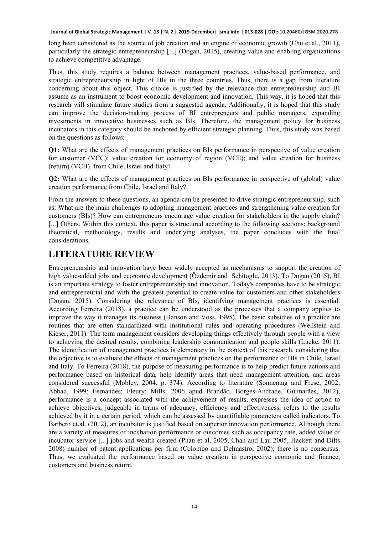long been considered as the source of job creation and an engine of economic growth (Chu et.al., 2011), particularly the strategic entrepreneurship [...] (Dogan, 2015), creating value and enabling organizations to achieve competitive advantage.

Thus, this study requires a balance between management practices, value-based performance, and strategic entrepreneurship in light of BIs in the three countries. Thus, there is a gap from literature concerning about this object. This choice is justified by the relevance that entrepreneurship and BI assume as an instrument to boost economic development and innovation. This way, it is hoped that this research will stimulate future studies from a suggested agenda. Additionally, it is hoped that this study can improve the decision-making process of BI entrepreneurs and public managers, expanding investments in innovative businesses such as BIs. Therefore, the management policy for business incubators in this category should be anchored by efficient strategic planning. Thus, this study was based on the questions as follows:

**Q1:** What are the effects of management practices on BIs performance in perspective of value creation for customer (VCC); value creation for economy of region (VCE); and value creation for business (return) (VCB), from Chile, Israel and Italy?

**Q2:** What are the effects of management practices on BIs performance in perspective of (global) value creation performance from Chile, Israel and Italy?

From the answers to these questions, an agenda can be presented to drive strategic entrepreneurship, such as: What are the main challenges to adopting management practices and strengthening value creation for customers (BIs)? How can entrepreneurs encourage value creation for stakeholders in the supply chain? [...] Others. Within this context, this paper is structured according to the following sections: background theoretical, methodology, results and underlying analyses, the paper concludes with the final considerations.

# **LITERATURE REVIEW**

Entrepreneurship and innovation have been widely accepted as mechanisms to support the creation of high value-added jobs and economic development (Özdemir and Sehitoglu, 2013). To Dogan (2015), BI is an important strategy to foster entrepreneurship and innovation. Today's companies have to be strategic and entrepreneurial and with the greatest potential to create value for customers and other stakeholders (Dogan, 2015). Considering the relevance of BIs, identifying management practices is essential. According Ferreira (2018), a practice can be understood as the processes that a company applies to improve the way it manages its business (Hanson and Voss, 1995). The basic subsidies of a practice are routines that are often standardized with institutional rules and operating procedures (Wellstein and Kieser, 2011). The term management considers developing things effectively through people with a view to achieving the desired results, combining leadership communication and people skills (Lucke, 2011). The identification of management practices is elementary in the context of this research, considering that the objective is to evaluate the effects of management practices on the performance of BIs in Chile, Israel and Italy. To Ferreira (2018), the purpose of measuring performance is to help predict future actions and performance based on historical data, help identify areas that need management attention, and areas considered successful (Mobley, 2004, p. 374). According to literature (Sonnentag and Frese, 2002; Abbad, 1999; Fernandes; Fleury; Mills, 2006 apud Brandão, Borges-Andrade, Guimarães, 2012), performance is a concept associated with the achievement of results, expresses the idea of action to achieve objectives, judgeable in terms of adequacy, efficiency and effectiveness, refers to the results achieved by it in a certain period, which can be assessed by quantifiable parameters called indicators. To Barbero et.al. (2012), an incubator is justified based on superior innovation performance. Although there are a variety of measures of incubation performance or outcomes such as occupancy rate, added value of incubator service [...] jobs and wealth created (Phan et al. 2005, Chan and Lau 2005, Hackett and Dilts 2008) number of patent applications per firm (Colombo and Delmastro, 2002); there is no consensus. Thus, we evaluated the performance based on value creation in perspective economic and finance, customers and business return.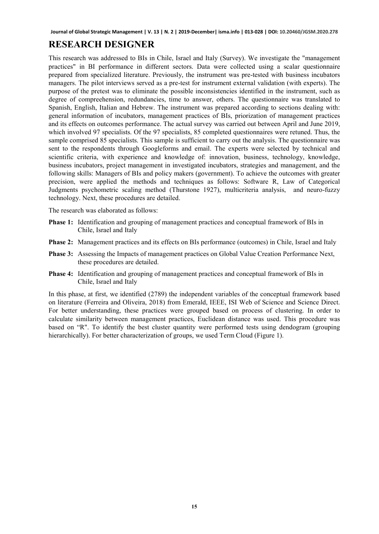# **RESEARCH DESIGNER**

This research was addressed to BIs in Chile, Israel and Italy (Survey). We investigate the "management practices" in BI performance in different sectors. Data were collected using a scalar questionnaire prepared from specialized literature. Previously, the instrument was pre-tested with business incubators managers. The pilot interviews served as a pre-test for instrument external validation (with experts). The purpose of the pretest was to eliminate the possible inconsistencies identified in the instrument, such as degree of compreehension, redundancies, time to answer, others. The questionnaire was translated to Spanish, English, Italian and Hebrew. The instrument was prepared according to sections dealing with: general information of incubators, management practices of BIs, priorization of management practices and its effects on outcomes performance. The actual survey was carried out between April and June 2019, which involved 97 specialists. Of the 97 specialists, 85 completed questionnaires were retuned. Thus, the sample comprised 85 specialists. This sample is sufficient to carry out the analysis. The questionnaire was sent to the respondents through Googleforms and email. The experts were selected by technical and scientific criteria, with experience and knowledge of: innovation, business, technology, knowledge, business incubators, project management in investigated incubators, strategies and management, and the following skills: Managers of BIs and policy makers (government). To achieve the outcomes with greater precision, were applied the methods and techniques as follows: Software R, Law of Categorical Judgments psychometric scaling method (Thurstone 1927), multicriteria analysis, and neuro-fuzzy technology. Next, these procedures are detailed.

The research was elaborated as follows:

- **Phase 1:** Identification and grouping of management practices and conceptual framework of BIs in Chile, Israel and Italy
- **Phase 2:** Management practices and its effects on BIs performance (outcomes) in Chile, Israel and Italy
- **Phase 3:** Assessing the Impacts of management practices on Global Value Creation Performance Next, these procedures are detailed.
- **Phase 4:** Identification and grouping of management practices and conceptual framework of BIs in Chile, Israel and Italy

In this phase, at first, we identified (2789) the independent variables of the conceptual framework based on literature (Ferreira and Oliveira, 2018) from Emerald, IEEE, ISI Web of Science and Science Direct. For better understanding, these practices were grouped based on process of clustering. In order to calculate similarity between management practices, Euclidean distance was used. This procedure was based on "R". To identify the best cluster quantity were performed tests using dendogram (grouping hierarchically). For better characterization of groups, we used Term Cloud (Figure 1).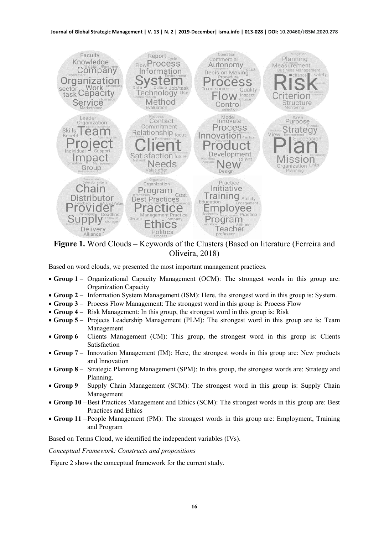

**Figure 1.** Word Clouds – Keywords of the Clusters (Based on literature (Ferreira and Oliveira, 2018)

Based on word clouds, we presented the most important management practices.

- **Group 1** Organizational Capacity Management (OCM): The strongest words in this group are: Organization Capacity
- **Group 2** Information System Management (ISM): Here, the strongest word in this group is: System.
- **Group 3** Process Flow Management: The strongest word in this group is: Process Flow
- **Group 4** Risk Management: In this group, the strongest word in this group is: Risk
- **Group 5** Projects Leadership Management (PLM): The strongest word in this group are is: Team Management
- **Group 6** Clients Management (CM): This group, the strongest word in this group is: Clients Satisfaction
- **Group 7** Innovation Management (IM): Here, the strongest words in this group are: New products and Innovation
- **Group 8** Strategic Planning Management (SPM): In this group, the strongest words are: Strategy and Planning.
- **Group 9** Supply Chain Management (SCM): The strongest word in this group is: Supply Chain Management
- **Group 10** –Best Practices Management and Ethics (SCM): The strongest words in this group are: Best Practices and Ethics
- **Group 11** –People Management (PM): The strongest words in this group are: Employment, Training and Program

Based on Terms Cloud, we identified the independent variables (IVs).

*Conceptual Framework: Constructs and propositions*

Figure 2 shows the conceptual framework for the current study.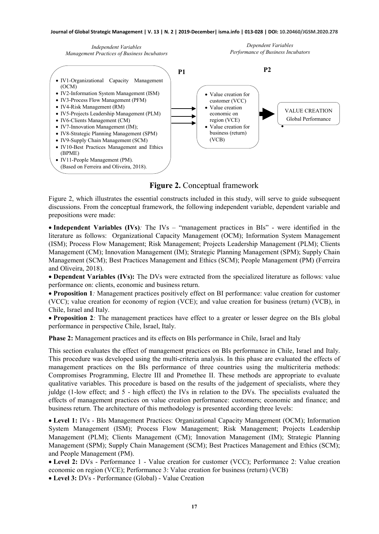*Independent Variables Management Practices of Business Incubators*





**Figure 2.** Conceptual framework

Figure 2, which illustrates the essential constructs included in this study, will serve to guide subsequent discussions. From the conceptual framework, the following independent variable, dependent variable and prepositions were made:

• **Independent Variables (IVs)***:* The IVs – "management practices in BIs" - were identified in the literature as follows: Organizational Capacity Management (OCM); Information System Management (ISM); Process Flow Management; Risk Management; Projects Leadership Management (PLM); Clients Management (CM); Innovation Management (IM); Strategic Planning Management (SPM); Supply Chain Management (SCM); Best Practices Management and Ethics (SCM); People Management (PM) (Ferreira and Oliveira, 2018).

• **Dependent Variables (IVs):** The DVs were extracted from the specialized literature as follows: value performance on: clients, economic and business return.

• **Proposition 1***:* Management practices positively effect on BI performance: value creation for customer (VCC); value creation for economy of region (VCE); and value creation for business (return) (VCB), in Chile, Israel and Italy.

• **Proposition 2***:* The management practices have effect to a greater or lesser degree on the BIs global performance in perspective Chile, Israel, Italy.

**Phase 2:** Management practices and its effects on BIs performance in Chile, Israel and Italy

This section evaluates the effect of management practices on BIs performance in Chile, Israel and Italy. This procedure was developed using the multi-criteria analysis. In this phase are evaluated the effects of management practices on the BIs performance of three countries using the multicriteria methods: Compromises Programming, Electre III and Promethee II. These methods are appropriate to evaluate qualitative variables. This procedure is based on the results of the judgement of specialists, where they juldge (1-low effect; and 5 - high effect) the IVs in relation to the DVs. The specialists evaluated the effects of management practices on value creation performance: customers; economic and finance; and business return. The architecture of this methodology is presented according three levels:

• **Level 1:** IVs - BIs Management Practices: Organizational Capacity Management (OCM); Information System Management (ISM); Process Flow Management; Risk Management; Projects Leadership Management (PLM); Clients Management (CM); Innovation Management (IM); Strategic Planning Management (SPM); Supply Chain Management (SCM); Best Practices Management and Ethics (SCM); and People Management (PM).

• **Level 2:** DVs - Performance 1 - Value creation for customer (VCC); Performance 2: Value creation economic on region (VCE); Performance 3: Value creation for business (return) (VCB)

• **Level 3:** DVs - Performance (Global) - Value Creation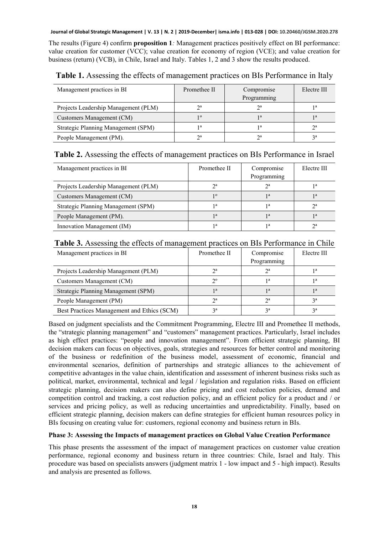The results (Figure 4) confirm **proposition 1***:* Management practices positively effect on BI performance: value creation for customer (VCC); value creation for economy of region (VCE); and value creation for business (return) (VCB), in Chile, Israel and Italy. Tables 1, 2 and 3 show the results produced.

| Management practices in BI           | Promethee II | Compromise<br>Programming | Electre III |
|--------------------------------------|--------------|---------------------------|-------------|
| Projects Leadership Management (PLM) | $\gamma$ a   | $\gamma$ a                |             |
| Customers Management (CM)            | 10           | 1a                        |             |
| Strategic Planning Management (SPM)  | 1a           | 1a                        | $\gamma$ a  |
| People Management (PM).              | $\gamma$ a   | $\gamma$ a                | 2a          |

**Table 1.** Assessing the effects of management practices on BIs Performance in Italy

### **Table 2.** Assessing the effects of management practices on BIs Performance in Israel

| Management practices in BI           | Promethee II | Compromise<br>Programming | Electre III |
|--------------------------------------|--------------|---------------------------|-------------|
| Projects Leadership Management (PLM) | $\gamma$ a   | $\gamma$ a                | 1a          |
| Customers Management (CM)            | 10           | 1 <sub>a</sub>            | 1a          |
| Strategic Planning Management (SPM)  | 1a           | 1a                        | $\gamma$ a  |
| People Management (PM).              | 1a           | 1a                        | 1 a         |
| Innovation Management (IM)           | 1a           | 1a                        | <b>na</b>   |

### **Table 3.** Assessing the effects of management practices on BIs Performance in Chile

| Management practices in BI                 | Promethee II   | Compromise     |           |  |
|--------------------------------------------|----------------|----------------|-----------|--|
|                                            |                | Programming    |           |  |
| Projects Leadership Management (PLM)       | $2^{\circ}$    | $2^{\circ}$    | 1a        |  |
| Customers Management (CM)                  | $2^{\circ}$    | 1a             | 1 a       |  |
| Strategic Planning Management (SPM)        | 1a             | 1 <sub>a</sub> | ı a       |  |
| People Management (PM)                     | $\gamma$ a     | $\gamma$ a     | <b>2a</b> |  |
| Best Practices Management and Ethics (SCM) | 2 <sub>a</sub> | 2a             | 2a        |  |

Based on judgment specialists and the Commitment Programming, Electre III and Promethee II methods, the "strategic planning management" and "customers" management practices. Particularly, Israel includes as high effect practices: "people and innovation management". From efficient strategic planning, BI decision makers can focus on objectives, goals, strategies and resources for better control and monitoring of the business or redefinition of the business model, assessment of economic, financial and environmental scenarios, definition of partnerships and strategic alliances to the achievement of competitive advantages in the value chain, identification and assessment of inherent business risks such as political, market, environmental, technical and legal / legislation and regulation risks. Based on efficient strategic planning, decision makers can also define pricing and cost reduction policies, demand and competition control and tracking, a cost reduction policy, and an efficient policy for a product and / or services and pricing policy, as well as reducing uncertainties and unpredictability. Finally, based on efficient strategic planning, decision makers can define strategies for efficient human resources policy in BIs focusing on creating value for: customers, regional economy and business return in BIs.

### **Phase 3: Assessing the Impacts of management practices on Global Value Creation Performance**

This phase presents the assessment of the impact of management practices on customer value creation performance, regional economy and business return in three countries: Chile, Israel and Italy. This procedure was based on specialists answers (judgment matrix 1 - low impact and 5 - high impact). Results and analysis are presented as follows.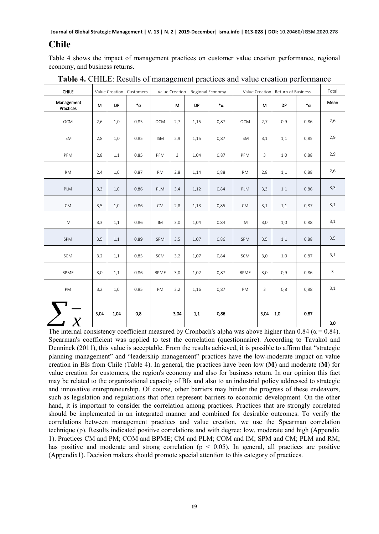### **Chile**

Table 4 shows the impact of management practices on customer value creation performance, regional economy, and business returns.

| <b>CHILE</b>            |      |      | Value Creation - Customers | Value Creation - Regional Economy |      |      |        | Value Creation - Return of Business |              |           |                  | Total        |
|-------------------------|------|------|----------------------------|-----------------------------------|------|------|--------|-------------------------------------|--------------|-----------|------------------|--------------|
| Management<br>Practices | м    | DP   | $\cdot^{\alpha}$           |                                   | M    | DP   | $^*$ α |                                     | M            | <b>DP</b> | $\cdot^{\alpha}$ | Mean         |
| OCM                     | 2,6  | 1,0  | 0,85                       | OCM                               | 2,7  | 1,15 | 0,87   | OCM                                 | 2,7          | 0.9       | 0,86             | 2,6          |
| ISM                     | 2,8  | 1,0  | 0,85                       | <b>ISM</b>                        | 2,9  | 1,15 | 0,87   | <b>ISM</b>                          | 3,1          | 1,1       | 0,85             | 2,9          |
| PFM                     | 2,8  | 1,1  | 0,85                       | PFM                               | 3    | 1,04 | 0,87   | PFM                                 | $\mathbf{3}$ | 1,0       | 0,88             | 2,9          |
| <b>RM</b>               | 2,4  | 1,0  | 0,87                       | <b>RM</b>                         | 2,8  | 1,14 | 0,88   | <b>RM</b>                           | 2,8          | 1,1       | 0,88             | 2,6          |
| PLM                     | 3,3  | 1,0  | 0,86                       | PLM                               | 3,4  | 1,12 | 0,84   | PLM                                 | 3,3          | 1,1       | 0,86             | 3,3          |
| <b>CM</b>               | 3,5  | 1,0  | 0,86                       | <b>CM</b>                         | 2,8  | 1,13 | 0,85   | <b>CM</b>                           | 3,1          | 1,1       | 0,87             | 3,1          |
| IM                      | 3,3  | 1,1  | 0.86                       | IM                                | 3,0  | 1,04 | 0.84   | IM                                  | 3,0          | 1,0       | 0.88             | 3,1          |
| SPM                     | 3,5  | 1,1  | 0.89                       | SPM                               | 3,5  | 1,07 | 0.86   | SPM                                 | 3,5          | 1,1       | 0.88             | 3,5          |
| SCM                     | 3.2  | 1,1  | 0,85                       | SCM                               | 3,2  | 1,07 | 0,84   | SCM                                 | 3,0          | 1,0       | 0,87             | 3,1          |
| <b>BPME</b>             | 3,0  | 1,1  | 0,86                       | <b>BPME</b>                       | 3,0  | 1,02 | 0,87   | <b>BPME</b>                         | 3,0          | 0,9       | 0,86             | $\mathbf{3}$ |
| PM                      | 3,2  | 1,0  | 0,85                       | PM                                | 3,2  | 1,16 | 0,87   | PM                                  | 3            | 0,8       | 0,88             | 3,1          |
|                         |      |      |                            |                                   |      |      |        |                                     |              |           |                  |              |
|                         | 3,04 | 1,04 | 0,8                        |                                   | 3,04 | 1,1  | 0,86   |                                     | 3,04         | 1,0       | 0,87             |              |
|                         |      |      |                            |                                   |      |      |        |                                     |              |           |                  | 3,0          |

**Table 4.** CHILE: Results of management practices and value creation performance

The internal consistency coefficient measured by Cronbach's alpha was above higher than 0.84 ( $\alpha$  = 0.84). Spearman's coefficient was applied to test the correlation (questionnaire). According to Tavakol and Denninck (2011), this value is acceptable. From the results achieved, it is possible to affirm that "strategic planning management" and "leadership management" practices have the low-moderate impact on value creation in BIs from Chile (Table 4). In general, the practices have been low (**M**) and moderate (**M**) for value creation for customers, the region's economy and also for business return. In our opinion this fact may be related to the organizational capacity of BIs and also to an industrial policy addressed to strategic and innovative entrepreneurship. Of course, other barriers may hinder the progress of these endeavors, such as legislation and regulations that often represent barriers to economic development. On the other hand, it is important to consider the correlation among practices. Practices that are strongly correlated should be implemented in an integrated manner and combined for desirable outcomes. To verify the correlations between management practices and value creation, we use the Spearman correlation technique (ρ). Results indicated positive correlations and with degree: low, moderate and high (Appendix 1). Practices CM and PM; COM and BPME; CM and PLM; COM and IM; SPM and CM; PLM and RM; has positive and moderate and strong correlation ( $p < 0.05$ ). In general, all practices are positive (Appendix1). Decision makers should promote special attention to this category of practices.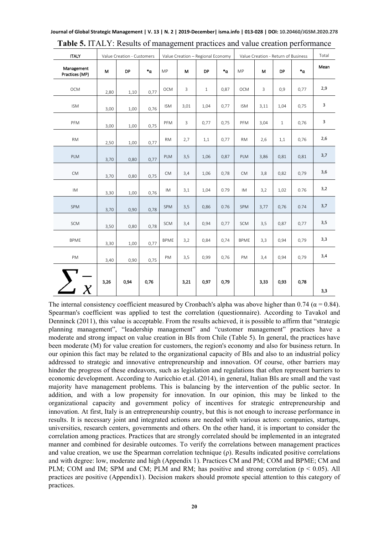| <b>ITALY</b>                 |      | Value Creation - Customers |              | Value Creation - Regional Economy |      |              |       | Value Creation - Return of Business |      |           |                | Total |
|------------------------------|------|----------------------------|--------------|-----------------------------------|------|--------------|-------|-------------------------------------|------|-----------|----------------|-------|
| Management<br>Practices (MP) | M    | DP                         | $^*{\alpha}$ | MP                                | M    | <b>DP</b>    | $^*a$ | <b>MP</b>                           | M    | <b>DP</b> | $\cdot_\alpha$ | Mean  |
| OCM                          | 2,80 | 1,10                       | 0,77         | <b>OCM</b>                        | 3    | $\mathbf{1}$ | 0,87  | <b>OCM</b>                          | 3    | 0,9       | 0,77           | 2,9   |
| <b>ISM</b>                   | 3,00 | 1,00                       | 0,76         | <b>ISM</b>                        | 3,01 | 1,04         | 0,77  | <b>ISM</b>                          | 3,11 | 1,04      | 0,75           | 3     |
| PFM                          | 3,00 | 1,00                       | 0,75         | PFM                               | 3    | 0,77         | 0,75  | PFM                                 | 3,04 | $1\,$     | 0,76           | 3     |
| <b>RM</b>                    | 2,50 | 1,00                       | 0,77         | <b>RM</b>                         | 2,7  | 1,1          | 0,77  | <b>RM</b>                           | 2,6  | 1,1       | 0,76           | 2,6   |
| PLM                          | 3,70 | 0,80                       | 0,77         | PLM                               | 3,5  | 1,06         | 0,87  | PLM                                 | 3,86 | 0,81      | 0,81           | 3,7   |
| <b>CM</b>                    | 3,70 | 0,80                       | 0,75         | <b>CM</b>                         | 3,4  | 1,06         | 0,78  | <b>CM</b>                           | 3,8  | 0,82      | 0,79           | 3,6   |
| IM                           | 3,30 | 1,00                       | 0,76         | <b>IM</b>                         | 3,1  | 1,04         | 0.79  | IM.                                 | 3,2  | 1,02      | 0.76           | 3,2   |
| SPM                          | 3,70 | 0,90                       | 0,78         | SPM                               | 3,5  | 0,86         | 0.76  | SPM                                 | 3,77 | 0,76      | 0.74           | 3,7   |
| <b>SCM</b>                   | 3,50 | 0,80                       | 0,78         | SCM                               | 3,4  | 0,94         | 0,77  | SCM                                 | 3,5  | 0,87      | 0,77           | 3,5   |
| <b>BPME</b>                  | 3,30 | 1,00                       | 0,77         | <b>BPME</b>                       | 3,2  | 0,84         | 0,74  | <b>BPME</b>                         | 3,3  | 0,94      | 0,79           | 3,3   |
| PM                           | 3,40 | 0,90                       | 0,75         | PM                                | 3,5  | 0,99         | 0,76  | PM                                  | 3,4  | 0,94      | 0,79           | 3,4   |
|                              |      |                            |              |                                   |      |              |       |                                     |      |           |                |       |
| $\overline{X}$               | 3,26 | 0,94                       | 0,76         |                                   | 3,21 | 0,97         | 0,79  |                                     | 3,33 | 0,93      | 0,78           | 3,3   |

**Journal of Global Strategic Management | V. 13 | N. 2 | 2019-December| isma.info | 013-028 | DOI: 10.20460/JGSM.2020.278 Table 5.** ITALY: Results of management practices and value creation performance

The internal consistency coefficient measured by Cronbach's alpha was above higher than 0.74 ( $\alpha$  = 0.84). Spearman's coefficient was applied to test the correlation (questionnaire). According to Tavakol and Denninck (2011), this value is acceptable. From the results achieved, it is possible to affirm that "strategic planning management", "leadership management" and "customer management" practices have a moderate and strong impact on value creation in BIs from Chile (Table 5). In general, the practices have been moderate (M) for value creation for customers, the region's economy and also for business return. In our opinion this fact may be related to the organizational capacity of BIs and also to an industrial policy addressed to strategic and innovative entrepreneurship and innovation. Of course, other barriers may hinder the progress of these endeavors, such as legislation and regulations that often represent barriers to economic development. According to Auricchio et.al. (2014), in general, Italian BIs are small and the vast majority have management problems. This is balancing by the intervention of the public sector. In addition, and with a low propensity for innovation. In our opinion, this may be linked to the organizational capacity and government policy of incentives for strategic entrepreneurship and innovation. At first, Italy is an entrepreneurship country, but this is not enough to increase performance in results. It is necessary joint and integrated actions are needed with various actors: companies, startups, universities, research centers, governments and others. On the other hand, it is important to consider the correlation among practices. Practices that are strongly correlated should be implemented in an integrated manner and combined for desirable outcomes. To verify the correlations between management practices and value creation, we use the Spearman correlation technique (ρ). Results indicated positive correlations and with degree: low, moderate and high (Appendix 1). Practices CM and PM; COM and BPME; CM and PLM; COM and IM; SPM and CM; PLM and RM; has positive and strong correlation ( $p < 0.05$ ). All practices are positive (Appendix1). Decision makers should promote special attention to this category of practices.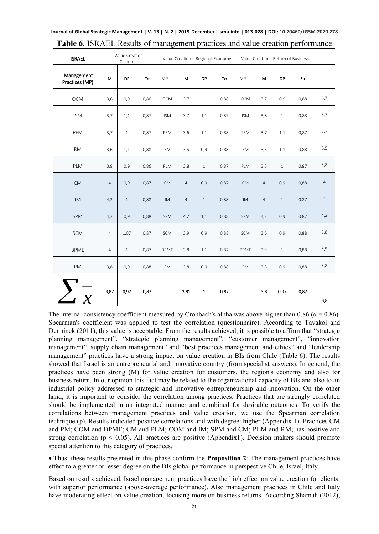| <b>ISRAEL</b>                |                | Value Creation -<br>Customers |                  | Value Creation - Regional Economy |                |              |              | Value Creation - Return of Business |                |              |              |                |
|------------------------------|----------------|-------------------------------|------------------|-----------------------------------|----------------|--------------|--------------|-------------------------------------|----------------|--------------|--------------|----------------|
| Management<br>Practices (MP) | M              | <b>DP</b>                     | $\cdot^{\alpha}$ | <b>MP</b>                         | M              | DP           | $\mathbf{a}$ | MP                                  | М              | <b>DP</b>    | $\mathbf{a}$ |                |
| OCM                          | 3,6            | 0,9                           | 0,86             | <b>OCM</b>                        | 3,7            | $\mathbf{1}$ | 0,88         | <b>OCM</b>                          | 3,7            | 0,9          | 0,88         | 3,7            |
| <b>ISM</b>                   | 3,7            | 1,1                           | 0,87             | <b>ISM</b>                        | 3,7            | 1,1          | 0,87         | <b>ISM</b>                          | 3,8            | $\mathbf{1}$ | 0,88         | 3,7            |
| PFM                          | 3,7            | $\mathbf{1}$                  | 0,87             | PFM                               | 3,6            | 1,1          | 0,88         | PFM                                 | 3,7            | 1,1          | 0,87         | 3,7            |
| <b>RM</b>                    | 3,6            | 1,1                           | 0,88             | <b>RM</b>                         | 3,5            | 0,9          | 0,88         | <b>RM</b>                           | 3,5            | 1,1          | 0,88         | 3,5            |
| PLM                          | 3,8            | 0,9                           | 0,86             | PLM                               | 3,8            | $\mathbf{1}$ | 0,87         | PLM                                 | 3,8            | $\mathbf{1}$ | 0,87         | 3,8            |
| <b>CM</b>                    | $\overline{4}$ | 0,9                           | 0,87             | <b>CM</b>                         | $\overline{4}$ | 0,9          | 0,87         | <b>CM</b>                           | $\overline{4}$ | 0,9          | 0,88         | $\overline{4}$ |
| <b>IM</b>                    | 4,2            | $\mathbf{1}$                  | 0,88             | <b>IM</b>                         | $\overline{4}$ | $1\,$        | 0.88         | $\mathsf{IM}{}$                     | $\overline{4}$ | $1\,$        | 0.87         | $\overline{4}$ |
| SPM                          | 4,2            | 0,9                           | 0,88             | SPM                               | 4,2            | 1,1          | 0.88         | SPM                                 | 4,2            | 0,9          | 0.87         | 4,2            |
| SCM                          | $\overline{4}$ | 1,07                          | 0,87             | SCM                               | 3,9            | 0,9          | 0,88         | SCM                                 | 3,6            | 0,9          | 0,88         | 3,8            |
| <b>BPME</b>                  | $\overline{4}$ | $\mathbf{1}$                  | 0,87             | <b>BPME</b>                       | 3,8            | 1,1          | 0,87         | <b>BPME</b>                         | 3,9            | $\mathbf{1}$ | 0,88         | 3,9            |
| PM                           | 3,8            | 0,9                           | 0,88             | PM                                | 3,8            | 0,9          | 0,88         | PM                                  | 3,8            | 0,9          | 0,88         | 3,8            |
| $\sum_{X}$                   | 3,87           | 0,97                          | 0,87             |                                   | 3,81           | $\mathbf{1}$ | 0,87         |                                     | 3,8            | 0,97         | 0,87         | 3,8            |

**Journal of Global Strategic Management | V. 13 | N. 2 | 2019-December| isma.info | 013-028 | DOI: 10.20460/JGSM.2020.278 Table 6.** ISRAEL Results of management practices and value creation performance

The internal consistency coefficient measured by Cronbach's alpha was above higher than 0.86 ( $\alpha$  = 0.86). Spearman's coefficient was applied to test the correlation (questionnaire). According to Tavakol and Denninck (2011), this value is acceptable. From the results achieved, it is possible to affirm that "strategic planning management", "strategic planning management", "customer management", "innovation management", supply chain management" and "best practices management and ethics" and "leadership management" practices have a strong impact on value creation in BIs from Chile (Table 6). The results showed that Israel is an entrepreneurial and innovative country (from specialist answers). In general, the practices have been strong (M) for value creation for customers, the region's economy and also for business return. In our opinion this fact may be related to the organizational capacity of BIs and also to an industrial policy addressed to strategic and innovative entrepreneurship and innovation. On the other hand, it is important to consider the correlation among practices. Practices that are strongly correlated should be implemented in an integrated manner and combined for desirable outcomes. To verify the correlations between management practices and value creation, we use the Spearman correlation technique (ρ). Results indicated positive correlations and with degree: higher (Appendix 1). Practices CM and PM; COM and BPME; CM and PLM; COM and IM; SPM and CM; PLM and RM; has positive and strong correlation ( $p < 0.05$ ). All practices are positive (Appendix1). Decision makers should promote special attention to this category of practices.

• Thus, these results presented in this phase confirm the **Proposition 2***:* The management practices have effect to a greater or lesser degree on the BIs global performance in perspective Chile, Israel, Italy.

Based on results achieved, Israel management practices have the high effect on value creation for clients, with superior performance (above-average performance). Also management practices in Chile and Italy have moderating effect on value creation, focusing more on business returns. According Shamah (2012),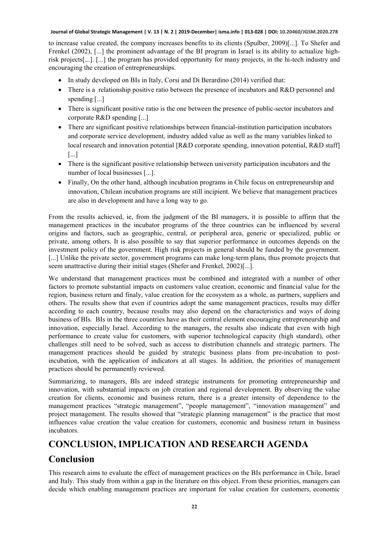to increase value created, the company increases benefits to its clients (Spulber, 2009)[...]. To Shefer and Frenkel (2002), [...] the prominent advantage of the BI program in Israel is its ability to actualize highrisk projects[...]. [...] the program has provided opportunity for many projects, in the hi-tech industry and encouraging the creation of entrepreneurships.

- In study developed on BIs in Italy, Corsi and Di Berardino (2014) verified that:
- There is a relationship positive ratio between the presence of incubators and R&D personnel and spending [...]
- There is significant positive ratio is the one between the presence of public-sector incubators and corporate R&D spending [...]
- There are significant positive relationships between financial-institution participation incubators and corporate service development, industry added value as well as the many variables linked to local research and innovation potential [R&D corporate spending, innovation potential, R&D staff] [...]
- There is the significant positive relationship between university participation incubators and the number of local businesses [...].
- Finally, On the other hand, although incubation programs in Chile focus on entrepreneurship and innovation, Chilean incubation programs are still incipient. We believe that management practices are also in development and have a long way to go.

From the results achieved, ie, from the judgment of the BI managers, it is possible to affirm that the management practices in the incubator programs of the three countries can be influenced by several origins and factors, such as geographic, central, or peripheral area, generic or specialized, public or private, among others. It is also possible to say that superior performance in outcomes depends on the investment policy of the government. High risk projects in general should be funded by the government. [...] Unlike the private sector, government programs can make long-term plans, thus promote projects that seem unattractive during their initial stages (Shefer and Frenkel, 2002)[...].

We understand that management practices must be combined and integrated with a number of other factors to promote substantial impacts on customers value creation, economic and financial value for the region, business return and finaly, value creation for the ecosystem as a whole, as partners, suppliers and others. The results show that even if countries adopt the same management practices, results may differ according to each country, because results may also depend on the characteristics and ways of doing business of BIs. BIs in the three countries have as their central element encouraging entrepreneurship and innovation, especially Israel. According to the managers, the results also indicate that even with high performance to create value for customers, with superior technological capacity (high standard), other challenges still need to be solved, such as access to distribution channels and strategic partners. The management practices should be guided by strategic business plans from pre-incubation to postincubation, with the application of indicators at all stages. In addition, the priorities of management practices should be permanently reviewed.

Summarizing, to managers, BIs are indeed strategic instruments for promoting entrepreneurship and innovation, with substantial impacts on job creation and regional development. By observing the value creation for clients, economic and business return, there is a greater intensity of dependence to the management practices "strategic management", "people management", "innovation management" and project management. The results showed that "strategic planning management" is the practice that most influences value creation the value creation for customers, economic and business return in business incubators.

### **CONCLUSION, IMPLICATION AND RESEARCH AGENDA**

### **Conclusion**

This research aims to evaluate the effect of management practices on the BIs performance in Chile, Israel and Italy. This study from within a gap in the literature on this object. From these priorities, managers can decide which enabling management practices are important for value creation for customers, economic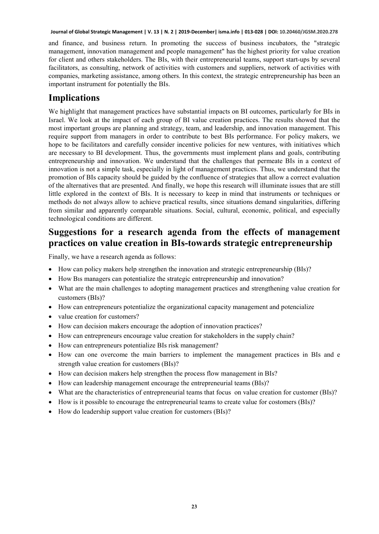and finance, and business return. In promoting the success of business incubators, the "strategic management, innovation management and people management" has the highest priority for value creation for client and others stakeholders. The BIs, with their entrepreneurial teams, support start-ups by several facilitators, as consulting, network of activities with customers and suppliers, network of activities with companies, marketing assistance, among others. In this context, the strategic entrepreneurship has been an important instrument for potentially the BIs.

### **Implications**

We highlight that management practices have substantial impacts on BI outcomes, particularly for BIs in Israel. We look at the impact of each group of BI value creation practices. The results showed that the most important groups are planning and strategy, team, and leadership, and innovation management. This require support from managers in order to contribute to best BIs performance. For policy makers, we hope to be facilitators and carefully consider incentive policies for new ventures, with initiatives which are necessary to BI development. Thus, the governments must implement plans and goals, contributing entrepreneurship and innovation. We understand that the challenges that permeate BIs in a context of innovation is not a simple task, especially in light of management practices. Thus, we understand that the promotion of BIs capacity should be guided by the confluence of strategies that allow a correct evaluation of the alternatives that are presented. And finally, we hope this research will illuminate issues that are still little explored in the context of BIs. It is necessary to keep in mind that instruments or techniques or methods do not always allow to achieve practical results, since situations demand singularities, differing from similar and apparently comparable situations. Social, cultural, economic, political, and especially technological conditions are different.

## **Suggestions for a research agenda from the effects of management practices on value creation in BIs-towards strategic entrepreneurship**

Finally, we have a research agenda as follows:

- How can policy makers help strengthen the innovation and strategic entrepreneurship (BIs)?
- How Bıs managers can potentialize the strategic entrepreneurship and innovation?
- What are the main challenges to adopting management practices and strengthening value creation for customers (BIs)?
- How can entrepreneurs potentialize the organizational capacity management and potencialize
- value creation for customers?
- How can decision makers encourage the adoption of innovation practices?
- How can entrepreneurs encourage value creation for stakeholders in the supply chain?
- How can entrepreneurs potentialize BIs risk management?
- How can one overcome the main barriers to implement the management practices in BIs and e strength value creation for customers (BIs)?
- How can decision makers help strengthen the process flow management in BIs?
- How can leadership management encourage the entrepreneurial teams (BIs)?
- What are the characteristics of entrepreneurial teams that focus on value creation for customer (BIs)?
- How is it possible to encourage the entrepreneurial teams to create value for costomers (BIs)?
- How do leadership support value creation for customers (BIs)?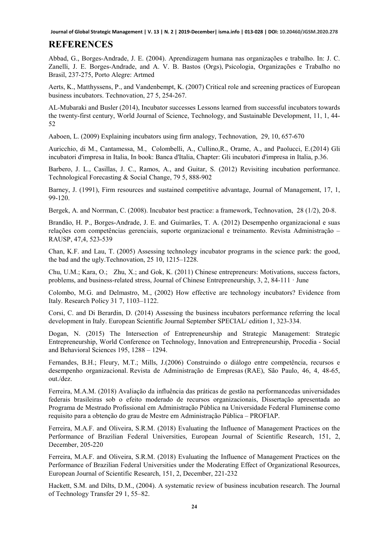# **REFERENCES**

Abbad, G., Borges-Andrade, J. E. (2004). Aprendizagem humana nas organizações e trabalho. In: J. C. Zanelli, J. E. Borges-Andrade, and A. V. B. Bastos (Orgs), Psicologia, Organizações e Trabalho no Brasil, 237-275, Porto Alegre: Artmed

Aerts, K., Matthyssens, P., and Vandenbempt, K. (2007) Critical role and screening practices of European business incubators. Technovation, 27 5, 254-267.

AL-Mubaraki and Busler (2014), Incubator successes Lessons learned from successful incubators towards the twenty-first century, World Journal of Science, Technology, and Sustainable Development, 11, 1, 44- 52

[Aaboen,](https://www.researchgate.net/profile/Lise_Aaboen) L. (2009) Explaining incubators using firm analogy, [Technovation,](https://www.researchgate.net/journal/0166-4972_Technovation) 29, 10, 657-670

Auricchio, di M., Cantamessa, M., Colombelli, A., Cullino,R., Orame, A., and Paolucci, E.(2014) Gli incubatori d'impresa in Italia, In book: Banca d'Italia, Chapter: Gli incubatori d'impresa in Italia, p.36.

Barbero, J. L., Casillas, J. C., Ramos, A., and Guitar, S. (2012) Revisiting incubation performance. Technological Forecasting & Social Change, 79 5, 888-902

Barney, J. (1991), Firm resources and sustained competitive advantage, Journal of Management, 17, 1, 99-120.

Bergek, A. and Norrman, C. (2008). Incubator best practice: a framework, Technovation, 28 (1/2), 20-8.

Brandão, H. P., Borges-Andrade, J. E. and Guimarães, T. A. (2012) Desempenho organizacional e suas relações com competências gerenciais, suporte organizacional e treinamento. Revista Administração – RAUSP, 47,4, 523-539

Chan, K.F. and Lau, T. (2005) Assessing technology incubator programs in the science park: the good, the bad and the ugly.Technovation, 25 10, 1215–1228.

[Chu,](https://www.researchgate.net/scientific-contributions/45392967_Hung_M_Chu) U.M.; [Kara,](https://www.researchgate.net/profile/Orhan_Kara) O.; [Zhu,](https://www.researchgate.net/profile/Xiaowei_Zhu) X.; and [Gok,](https://www.researchgate.net/profile/Kubilay_Gok) K. (2011) Chinese entrepreneurs: Motivations, success factors, problems, and business-related stress, [Journal of Chinese Entrepreneurship,](https://www.researchgate.net/journal/1756-1396_Journal_of_Chinese_Entrepreneurship) 3, 2, 84-111 · June

Colombo, M.G. and Delmastro, M., (2002) How effective are technology incubators? Evidence from Italy. Research Policy 31 7, 1103–1122.

Corsi, C. and Di Berardin, D. (2014) Assessing the business incubators performance referring the local development in Italy. European Scientific Journal September SPECIAL/ edition 1, 323-334.

Dogan, N. (2015) The Intersection of Entrepreneurship and Strategic Management: Strategic Entrepreneurship, World Conference on Technology, Innovation and Entrepreneurship, Procedia - Social and Behavioral Sciences 195, 1288 – 1294.

Fernandes, B.H.; Fleury, M.T.; Mills, J.(2006) Construindo o diálogo entre competência, recursos e desempenho organizacional. Revista de Administração de Empresas (RAE), São Paulo, 46, 4, 48-65, out./dez.

Ferreira, M.A.M. (2018) Avaliação da influência das práticas de gestão na performancedas universidades federais brasileiras sob o efeito moderado de recursos organizacionais, Dissertação apresentada ao Programa de Mestrado Profissional em Administração Pública na Universidade Federal Fluminense como requisito para a obtenção do grau de Mestre em Administração Pública – PROFIAP.

Ferreira, M.A.F. and Oliveira, S.R.M. (2018) [Evaluating the Influence of Management Practices on the](https://www.europeanjournalofscientificresearch.com/issues/PDF/EJSR_151_2_07.pdf)  [Performance of Brazilian Federal Universities,](https://www.europeanjournalofscientificresearch.com/issues/PDF/EJSR_151_2_07.pdf) European Journal of Scientific Research, 151, 2, December, 205-220

Ferreira, M.A.F. and Oliveira, S.R.M. (2018) [Evaluating the Influence of Management Practices on the](https://www.europeanjournalofscientificresearch.com/issues/PDF/EJSR_151_2_08.pdf)  [Performance of Brazilian Federal Universities under the Moderating Effect of Organizational Resources,](https://www.europeanjournalofscientificresearch.com/issues/PDF/EJSR_151_2_08.pdf) European Journal of Scientific Research, 151, 2, December, 221-232

Hackett, S.M. and Dilts, D.M., (2004). A systematic review of business incubation research. The Journal of Technology Transfer 29 1, 55–82.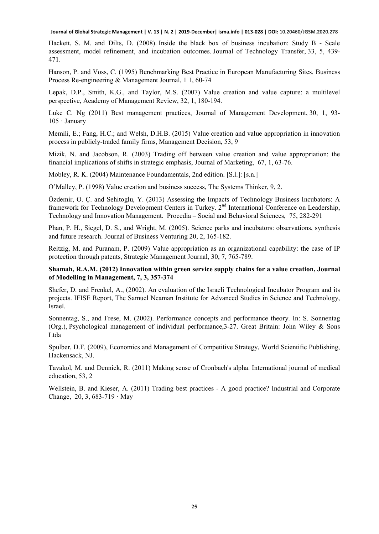Hackett, S. M. and Dilts, D. (2008). Inside the black box of business incubation: Study B - Scale assessment, model refinement, and incubation outcomes. Journal of Technology Transfer, 33, 5, 439- 471.

Hanson, P. and Voss, C. (1995) Benchmarking Best Practice in European Manufacturing Sites. Business Process Re-engineering & Management Journal, 1 1, 60-74

Lepak, D.P., Smith, K.G., and Taylor, M.S. (2007) Value creation and value capture: a multilevel perspective, Academy of Management Review, 32, 1, 180-194.

[Luke](https://www.researchgate.net/scientific-contributions/2015250025_Luke_C_Ng) C. Ng (2011) Best management practices, Journal of Management [Development,](https://www.researchgate.net/journal/0262-1711_Journal_of_Management_Development) 30, 1, 93- 105 · January

Memili, E.; Fang, H.C.; and Welsh, D.H.B. (2015) Value creation and value appropriation in innovation process in publicly-traded family firms, Management Decision, 53, 9

Mizik, N. and Jacobson, R. (2003) Trading off between value creation and value appropriation: the financial implications of shifts in strategic emphasis, Journal of Marketing, 67, 1, 63-76.

Mobley, R. K. (2004) Maintenance Foundamentals, 2nd edition. [S.l.]: [s.n.]

O'Malley, P. (1998) Value creation and business success, The Systems Thinker, 9, 2.

Özdemir, O. Ç. and Sehitoglu, Y. (2013) Assessing the Impacts of Technology Business Incubators: A framework for Technology Development Centers in Turkey. 2<sup>nd</sup> International Conference on Leadership, Technology and Innovation Management. Procedia – Social and Behavioral Sciences, 75, 282-291

Phan, P. H., Siegel, D. S., and Wright, M. (2005). Science parks and incubators: observations, synthesis and future research. Journal of Business Venturing 20, 2, 165-182.

Reitzig, M. and Puranam, P. (2009) Value appropriation as an organizational capability: the case of IP protection through patents, Strategic Management Journal, 30, 7, 765-789.

#### **Shamah, R.A.M. (2012) Innovation within green service supply chains for a value creation, Journal of Modelling in Management, 7, 3, 357-374**

Shefer, D. and Frenkel, A., (2002). An evaluation of the Israeli Technological Incubator Program and its projects. IFISE Report, The Samuel Neaman Institute for Advanced Studies in Science and Technology, Israel.

Sonnentag, S., and Frese, M. (2002). Performance concepts and performance theory. In: S. Sonnentag (Org.), Psychological management of individual performance,3-27. Great Britain: John Wiley & Sons Ltda

Spulber, D.F. (2009), Economics and Management of Competitive Strategy, World Scientific Publishing, Hackensack, NJ.

Tavakol, M. and Dennick, R. (2011) Making sense of Cronbach's alpha. International journal of medical education, 53, 2

[Wellstein,](https://www.researchgate.net/scientific-contributions/80286951_Benjamin_Wellstein) B. and [Kieser,](https://www.researchgate.net/profile/Alfred_Kieser) A. (2011) Trading best practices - A good practice? [Industrial](https://www.researchgate.net/journal/1464-3650_Industrial_and_Corporate_Change) and Corporate [Change,](https://www.researchgate.net/journal/1464-3650_Industrial_and_Corporate_Change) 20, 3, 683-719 · May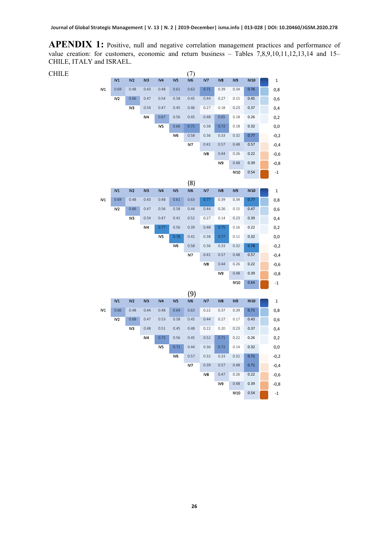APENDIX 1: Positive, null and negative correlation management practices and performance of value creation: for customers, economic and return business – Tables 7,8,9,10,11,12,13,14 and 15– CHILE, ITALY and ISRAEL.

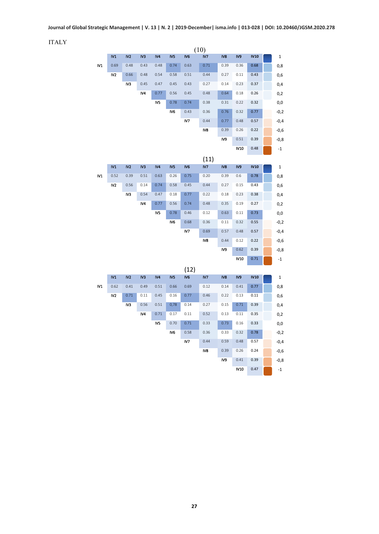ITALY

|                | (10)            |                 |                 |      |                 |                 |      |                 |             |             |  |             |  |
|----------------|-----------------|-----------------|-----------------|------|-----------------|-----------------|------|-----------------|-------------|-------------|--|-------------|--|
|                | IV1             | IV <sub>2</sub> | IV3             | IV4  | IV5             | IV <sub>6</sub> | IV7  | IV8             | IV9         | <b>IV10</b> |  | 1           |  |
| N <sub>1</sub> | 0.69            | 0.48            | 0.43            | 0.48 | 0.74            | 0.63            | 0.71 | 0.39            | 0.36        | 0.68        |  | 0,8         |  |
|                | IV2             | 0.66            | 0.48            | 0.54 | 0.58            | 0.51            | 0.44 | 0.27            | 0.11        | 0.43        |  | 0,6         |  |
|                |                 | IV3             | 0.45            | 0.47 | 0.45            | 0.43            | 0.27 | 0.14            | 0.23        | 0.37        |  | 0,4         |  |
|                |                 |                 | IV4             | 0.77 | 0.56            | 0.45            | 0.48 | 0.64            | 0.18        | 0.26        |  | 0,2         |  |
|                |                 |                 |                 | IV5  | 0.78            | 0.74            | 0.38 | 0.31            | 0.22        | 0.32        |  | 0,0         |  |
|                |                 |                 |                 |      | IV <sub>6</sub> | 0.43            | 0.36 | 0.76            | 0.32        | 0.77        |  | $-0,2$      |  |
|                |                 |                 |                 |      |                 | IV7             | 0.44 | 0.77            | 0.48        | 0.57        |  | $-0,4$      |  |
|                |                 |                 |                 |      |                 |                 | IV8  | 0.39            | 0.26        | 0.22        |  | $-0,6$      |  |
|                |                 |                 |                 |      |                 |                 |      | IV9             | 0.51        | 0.39        |  | $-0,8$      |  |
|                |                 |                 |                 |      |                 |                 |      |                 | <b>IV10</b> | 0.48        |  | $-1$        |  |
|                |                 |                 |                 |      |                 |                 | (11) |                 |             |             |  |             |  |
|                | IV1             | IV2             | IV3             | IV4  | IV <sub>5</sub> | IV <sub>6</sub> | IV7  | IV <sub>8</sub> | IV9         | <b>IV10</b> |  | 1           |  |
| N <sub>1</sub> | 0.52            | 0.39            | 0.51            | 0.63 | 0.26            | 0.75            | 0.20 | 0.39            | 0.6         | 0.78        |  | 0,8         |  |
|                | IV2             | 0.56            | 0.14            | 0.74 | 0.58            | 0.45            | 0.44 | 0.27            | 0.15        | 0.43        |  | 0,6         |  |
|                |                 | IV3             | 0.54            | 0.47 | 0.18            | 0.77            | 0.22 | 0.18            | 0.23        | 0.38        |  | 0,4         |  |
|                |                 |                 | IV4             | 0.77 | 0.56            | 0.74            | 0.48 | 0.35            | 0.19        | 0.27        |  | 0,2         |  |
|                |                 |                 |                 | IV5  | 0.78            | 0.46            | 0.12 | 0.63            | 0.11        | 0.73        |  | 0,0         |  |
|                |                 |                 |                 |      | IV <sub>6</sub> | 0.68            | 0.36 | 0.11            | 0.32        | 0.55        |  | $-0,2$      |  |
|                |                 |                 |                 |      |                 | IV7             | 0.69 | 0.57            | 0.48        | 0.57        |  | $-0,4$      |  |
|                |                 |                 |                 |      |                 |                 | IV8  | 0.44            | 0.12        | 0.22        |  | $-0,6$      |  |
|                |                 |                 |                 |      |                 |                 |      | IV9             | 0.62        | 0.39        |  | $-0,8$      |  |
|                |                 |                 |                 |      |                 |                 |      |                 | <b>IV10</b> | 0.71        |  | $-1$        |  |
|                |                 |                 |                 |      |                 | (12)            |      |                 |             |             |  |             |  |
|                | IV1             | IV <sub>2</sub> | IV <sub>3</sub> | IV4  | IV <sub>5</sub> | IV <sub>6</sub> | IV7  | IV <sub>8</sub> | IV9         | <b>IV10</b> |  | $\mathbf 1$ |  |
| IV1            | 0.62            | 0.41            | 0.49            | 0.51 | 0.66            | 0.69            | 0.12 | 0.14            | 0.41        | 0.77        |  | 0,8         |  |
|                | IV <sub>2</sub> | 0.71            | 0.11            | 0.45 | 0.16            | 0.77            | 0.46 | 0.22            | 0.13        | 0.11        |  | 0,6         |  |
|                |                 | IV3             | 0.56            | 0.51 | 0,78            | 0.14            | 0.27 | 0.15            | 0.71        | 0.39        |  | 0,4         |  |
|                |                 |                 | IV4             | 0.71 | 0.17            | 0.11            | 0.52 | 0.13            | 0.11        | 0.35        |  | 0,2         |  |
|                |                 |                 |                 | IV5  | 0.70            | 0.71            | 0.33 | 0.73            | 0.16        | 0.33        |  | 0,0         |  |
|                |                 |                 |                 |      | IV <sub>6</sub> | 0.58            | 0.36 | 0.33            | 0.32        | 0.78        |  | $-0,2$      |  |
|                |                 |                 |                 |      |                 | IV7             | 0.44 | 0.59            | 0.48        | 0.57        |  | $-0,4$      |  |
|                |                 |                 |                 |      |                 |                 | IV8  | 0.39            | 0.26        | 0.24        |  | $-0,6$      |  |
|                |                 |                 |                 |      |                 |                 |      | IV9             | 0.41        | 0.39        |  | $-0,8$      |  |
|                |                 |                 |                 |      |                 |                 |      |                 | <b>IV10</b> | 0.47        |  | $-1$        |  |